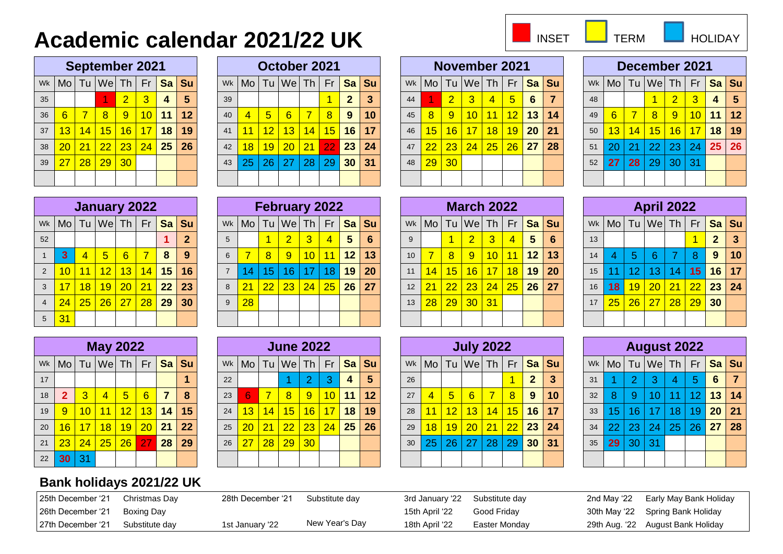## **Academic calendar 2021/22 UK**

| <b>INSE</b> |  |
|-------------|--|
|             |  |

TERM **HOLIDAY** 

|    |    |    |                | <b>September 2021</b>                        |                 |    |    |
|----|----|----|----------------|----------------------------------------------|-----------------|----|----|
|    |    |    |                | Mo   Tu  We   Th   Fr <mark>  Sa   Su</mark> |                 |    | Wk |
| 5  | 4  | 3  | $\overline{2}$ |                                              |                 |    | 35 |
| 12 | 11 | 10 | 9              | 8                                            | $\overline{7}$  | 6  | 36 |
| 19 | 18 | 17 | 16             | 15 <sup>2</sup>                              | 14              | 13 | 37 |
| 26 | 25 | 24 | 23             | 22                                           | $\overline{21}$ | 20 | 38 |
|    |    |    | 30             | 29                                           | 28              | 27 | 39 |
|    |    |    |                |                                              |                 |    |    |

|    |                         |                 | October 2021                     |    |                 |              |    |
|----|-------------------------|-----------------|----------------------------------|----|-----------------|--------------|----|
| Wk |                         |                 | Mo   Tu   We   Th   Fr   Sa   Su |    |                 |              |    |
| 39 |                         |                 |                                  |    |                 | $\mathbf{2}$ | 3  |
| 40 | $\overline{\mathbf{4}}$ | $5\overline{5}$ | 6                                | 7  | 8               | 9            | 10 |
| 41 | 11                      | 12              | 13                               | 14 | 15              | 16           | 17 |
| 42 | 18                      | 19              | 20                               | 21 | 22 <sub>1</sub> | 23           | 24 |
| 43 | 25                      | 26              | l 27                             | 28 | 29              | 30           | 31 |
|    |                         |                 |                                  |    |                 |              |    |

|    |                 |    |                       | <b>September 2021</b>         |    |                |                        |    |    |                | October 2021                |             |                 |                 |         |    |                 |                 | <b>November 2021</b>   |                |                 |                 |         |    |                 |                 | December 2021                                       |                      |                 |                 |     |
|----|-----------------|----|-----------------------|-------------------------------|----|----------------|------------------------|----|----|----------------|-----------------------------|-------------|-----------------|-----------------|---------|----|-----------------|-----------------|------------------------|----------------|-----------------|-----------------|---------|----|-----------------|-----------------|-----------------------------------------------------|----------------------|-----------------|-----------------|-----|
|    |                 |    |                       | wk   Mo   Tu   We   Th        | Fr |                | <mark>l Sa ∣</mark> Su |    |    |                | wk   Mo   Tu   We   Th   Fr |             |                 |                 | $Sa$ Su |    |                 |                 | Wk   Mo   Tu   We   Th |                | Fr              |                 | $Sa$ Su |    | Wk Mo           |                 | <sup> </sup> Tu  We  Th   Fr <mark>  Sa   Su</mark> |                      |                 |                 |     |
| 35 |                 |    |                       | $\overline{2}$                | 3  | $\overline{4}$ |                        | 39 |    |                |                             |             |                 | $\mathbf{2}$    | 3       | 44 |                 | $\overline{2}$  | $\sqrt{3}$             | $\overline{4}$ | $5\overline{)}$ | 6               |         | 48 |                 |                 |                                                     | $\overline{2}$       |                 | $\overline{4}$  | - 5 |
| 36 | $6^{\circ}$     |    | 8 <sup>°</sup>        | 9                             | 10 | 11             |                        | 40 | 4  | 5 <sup>5</sup> | 6                           |             | 8 <sub>1</sub>  | 9               | 10      | 45 | 8               | 9 <sup>1</sup>  | 10 11                  |                | $\overline{12}$ | 13              | -14     | 49 | 6               |                 | 8                                                   | 9                    | 10              | 11              | 12  |
| 37 | $\sqrt{13}$     | 14 | 15 <sub>1</sub>       | 16                            | 17 | 18             | 19                     | 41 |    | 12             | 13 <sub>h</sub>             | $\sqrt{14}$ | 15              | 16              | 17      | 46 | $\overline{15}$ | 16              | <b>17</b>              | 18             | 19              | 20 <sub>1</sub> | 21      | 50 | 13              | $\overline{14}$ |                                                     | <mark>15 16  </mark> | 17              | 18 <sup>1</sup> | 19  |
| 38 | 20              |    |                       | <mark>  21   22   23  </mark> | 24 | 25             | 26                     | 42 | 18 | 19             | 20 21                       |             | 22 <sub>1</sub> | 23              | 24      | 47 | 22              | 23              | 24 25                  |                | 26              | 27              | 28      | 51 | 20 <sub>l</sub> | 21              | 22                                                  | 23                   | 24 <sup>1</sup> | 25              | 26  |
| 39 | $\overline{27}$ |    | <mark>28 29 30</mark> |                               |    |                |                        | 43 | 25 | 26             | 27                          | 28          | 29              | 30 <sup>°</sup> | 31      | 48 | $29 \mid$       | 30 <sup>°</sup> |                        |                |                 |                 |         | 52 | 27              | 28              | 29                                                  | 30 31                |                 |                 |     |
|    |                 |    |                       |                               |    |                |                        |    |    |                |                             |             |                 |                 |         |    |                 |                 |                        |                |                 |                 |         |    |                 |                 |                                                     |                      |                 |                 |     |

|    |    |                | December 2021                    |                |                |    |    |
|----|----|----------------|----------------------------------|----------------|----------------|----|----|
| Wk |    |                | Mo   Tu   We   Th   Fr   Sa   Su |                |                |    |    |
| 48 |    |                |                                  | $\overline{2}$ | $\overline{3}$ | 4  | 5  |
| 49 | 6  | $\overline{7}$ | 8                                | 9              | 10             | 11 | 12 |
| 50 | 13 | 14             | 15                               | 16             | 17             | 18 | 19 |
| 51 | 20 | 21             | 22 <sub>1</sub>                  | 23             | 24             | 25 | 26 |
| 52 | 27 | 28             | 29                               | 30             | 31             |    |    |
|    |    |                |                                  |                |                |    |    |

|                |                 |                | January 2022                                 |                 |    |    |                |
|----------------|-----------------|----------------|----------------------------------------------|-----------------|----|----|----------------|
| Wk             |                 |                | Mo   Tu  We   Th   Fr <mark>  Sa   Su</mark> |                 |    |    |                |
| 52             |                 |                |                                              |                 |    | 1  | $\overline{2}$ |
| $\overline{1}$ | 3               | $\overline{4}$ | 5                                            | 6               | 7  | 8  | 9              |
| $\overline{2}$ | 10              | 11             | 12                                           | 13              | 14 | 15 | 16             |
| 3              | 17              | 18             | 19                                           | $\overline{20}$ | 21 | 22 | 23             |
| $\overline{4}$ | $\overline{24}$ | 25             | 26                                           | 27              | 28 | 29 | 30             |
| 5              | 31              |                |                                              |                 |    |    |                |

|                |          |                 | January 2022            |                |                |    |                                                      |   |    |                 | <b>February 2022</b> |                 |                |                 |                                                    |    |    |                 | <b>March 2022</b>  |                 |                |                  |           |                 |    |                | <b>April 2022</b>                                  |                         |                 |                |    |
|----------------|----------|-----------------|-------------------------|----------------|----------------|----|------------------------------------------------------|---|----|-----------------|----------------------|-----------------|----------------|-----------------|----------------------------------------------------|----|----|-----------------|--------------------|-----------------|----------------|------------------|-----------|-----------------|----|----------------|----------------------------------------------------|-------------------------|-----------------|----------------|----|
|                |          |                 |                         |                |                |    | wk   Mo   Tu   We   Th   Fr <mark>  Sa   Su  </mark> |   |    |                 |                      |                 |                |                 | wk   Mo   Tu   We   Th   Fr <mark>  Sa   Su</mark> |    |    |                 | $Wk$ Mo Tu $We$ Th |                 |                |                  | Fr Sa Su  |                 |    |                | Wk   Mo   Tu   We   Th   Fr <mark>  Sa   Su</mark> |                         |                 |                |    |
| 52             |          |                 |                         |                |                |    |                                                      |   |    |                 | $\overline{2}$       | 3               | $\overline{4}$ | 5 <sub>5</sub>  | 6                                                  | 9  |    |                 | 2                  | $\overline{3}$  | $\overline{4}$ | $5\phantom{.0}$  | -6        | 13              |    |                |                                                    |                         |                 | 2 <sup>2</sup> | -3 |
|                |          |                 | $\sqrt{5}$              | 6 <sup>°</sup> | 7 <sup>7</sup> | 8  | 9                                                    |   |    | 8 <sup>°</sup>  | -9                   |                 | $10$   11      | 12 <sup>2</sup> | 13                                                 | 10 |    | <b>8</b>        | 9                  | 10 <sup>1</sup> | 11             | 12 <sup>12</sup> | 13        | 14              | 4  | 5 <sup>1</sup> | 6.                                                 |                         | -8              | $9^{\circ}$    | 10 |
|                | 2 10     |                 | <mark>_11   12  </mark> | $\sqrt{13}$    | 14             | 15 | 16                                                   |   | 14 | 15 <sub>1</sub> | 16 <sup>°</sup>      | 17 <sup>2</sup> | 18             | 19              | 20                                                 | 11 | 14 | 15 <sup>1</sup> |                    | $16$   17       | 18             | 19 <sup>°</sup>  | <b>20</b> | 15 <sub>1</sub> |    | $\mathbf{P}$   | 13                                                 |                         | 15 <sup>1</sup> | 16 17          |    |
| 3 <sup>1</sup> |          | 18 <sup>1</sup> |                         | 19 20          | <u> 1217 </u>  | 22 | 23                                                   | 8 | 21 | $\overline{22}$ | 23 24 25             |                 |                | 26              | 27                                                 | 12 | 21 | 22              |                    | 23 24           | 25             | 26               | 27        | 16              | 18 | 19             | 20                                                 | 21                      | 22              | 23 24          |    |
|                | 4   $24$ |                 | <mark>25 26 27</mark>   |                | 28             | 29 | 30                                                   | 9 | 28 |                 |                      |                 |                |                 |                                                    | 13 | 28 | <u>  29  </u>   | 30 31              |                 |                |                  |           | 17              | 25 | 26             | 27                                                 | <u>  28   29   30  </u> |                 |                |    |
| $5\vert 31$    |          |                 |                         |                |                |    |                                                      |   |    |                 |                      |                 |                |                 |                                                    |    |    |                 |                    |                 |                |                  |           |                 |    |                |                                                    |                         |                 |                |    |

|    |                |                | <b>May 2022</b>      |                 |    |    |    |
|----|----------------|----------------|----------------------|-----------------|----|----|----|
| Wk |                |                | Mo Tu We Th Fr Sa Su |                 |    |    |    |
| 17 |                |                |                      |                 |    |    | 1  |
| 18 | $\overline{2}$ | $\overline{3}$ | 4                    | $5\overline{5}$ | 6  | 7  | 8  |
| 19 | 9              | 10             | 11                   | 12 <sub>2</sub> | 13 | 14 | 15 |
| 20 | 16             | 17             | 18                   | 19              | 20 | 21 | 22 |
| 21 | 23             | 24             | 25                   | 26              | 27 | 28 | 29 |
| 22 | 30             | 31             |                      |                 |    |    |    |

## **May 2022 June 2022 July 2022 August 2022** Wk Mo Tu We Th Fr **Sa Su** Wk Mo Tu We Th Fr **Sa Su** Wk Mo Tu We Th Fr **Sa Su** Wk Mo Tu We Th Fr **Sa Su** 17 **1** 22 1 2 3 **4 5** 26 1 **2 3** 31 1 2 3 4 5 **6 7** 18 **2** 3 4 5 6 **7 8** 23 6 7 8 9 10 **11 12** 27 4 5 6 7 8 **9 10** 32 8 9 10 11 12 **13 14** 19 9 10 11 12 13 **14 15** 24 13 14 15 16 17 **18 19** 28 11 12 13 14 15 **16 17** 33 15 16 17 18 19 **20 21** 20 16 17 18 19 20 **21 22** 25 20 21 [22](https://www.calendarpedia.co.uk/) 23 24 **25 26** 29 18 19 20 21 22 **23 24** 34 22 23 24 25 26 **27 28** 21 23 24 25 26 27 **28 29** 26 27 28 29 30 30 25 26 27 28 29 **30 31** 35 **29** 30 31

| <b>March 2022</b> |                |                 |                                               |                |                |    |                 |  |  |  |  |  |  |
|-------------------|----------------|-----------------|-----------------------------------------------|----------------|----------------|----|-----------------|--|--|--|--|--|--|
| Wk                |                |                 | Mo   Tu   We   Th   Fr <mark>  Sa   Su</mark> |                |                |    |                 |  |  |  |  |  |  |
| 9                 |                | 1               | $\overline{2}$                                | $\overline{3}$ | $\overline{4}$ | 5  | $6\phantom{1}6$ |  |  |  |  |  |  |
| 10                | $\overline{7}$ | $\overline{8}$  | 9                                             | 10             | 11             | 12 | 13              |  |  |  |  |  |  |
| 11                | 14             | 15 <sup>2</sup> | 16                                            | 17             | 18             | 19 | 20              |  |  |  |  |  |  |
| 12                | 21             | 22 <sub>2</sub> | 23                                            | 24             | 25             | 26 | 27              |  |  |  |  |  |  |
| 13                | 28             | 29              | 30                                            | 31             |                |    |                 |  |  |  |  |  |  |
|                   |                |                 |                                               |                |                |    |                 |  |  |  |  |  |  |

|    |    |                 | <b>April 2022</b>                |                            |    |              |                |
|----|----|-----------------|----------------------------------|----------------------------|----|--------------|----------------|
| Wk |    |                 | Mo   Tu   We   Th   Fr   Sa   Su |                            |    |              |                |
| 13 |    |                 |                                  |                            |    | $\mathbf{2}$ | $\overline{3}$ |
| 14 | 4  | 5               | 6                                | 7                          | 8  | 9            | 10             |
| 15 | 11 | 12 <sub>1</sub> | 13                               | 14                         | 15 | 16           | 17             |
| 16 | 18 | 19              | 20                               | 21                         | 22 | 23           | 24             |
| 17 | 25 | 26              | 27                               | $\overline{\phantom{1}28}$ | 29 | 30           |                |
|    |    |                 |                                  |                            |    |              |                |

|    |    |    | <b>July 2022</b>                              |    |    |              |    |
|----|----|----|-----------------------------------------------|----|----|--------------|----|
| Wk |    |    | Mo   Tu   We   Th   Fr <mark>  Sa   Su</mark> |    |    |              |    |
| 26 |    |    |                                               |    |    | $\mathbf{2}$ | 3  |
| 27 | 4  | 5  | 6                                             | 7  | 8  | 9            | 10 |
| 28 | 11 | 12 | 13                                            | 14 | 15 | 16           | 17 |
| 29 | 18 | 19 | 20                                            | 21 | 22 | 23           | 24 |
| 30 | 25 | 26 | 27                                            | 28 | 29 | 30           | 31 |
|    |    |    |                                               |    |    |              |    |

|    |    |                | <b>August 2022</b>                               |                |    |       |    |
|----|----|----------------|--------------------------------------------------|----------------|----|-------|----|
| Wk |    |                | $\textsf{Mo}$ Tu $\textsf{Wel}$ Th $\textsf{Fr}$ |                |    | Sa Su |    |
| 31 |    | $\overline{2}$ | 3                                                | $\overline{4}$ | 5  | 6     | 7  |
| 32 | 8  | 9              | 10                                               | 11             | 12 | 13    | 14 |
| 33 | 15 | 16             | 17                                               | 18             | 19 | 20    | 21 |
| 34 | 22 | 23             | 24                                               | 25             | 26 | 27    | 28 |
| 35 | 29 | 30             | 31                                               |                |    |       |    |
|    |    |                |                                                  |                |    |       |    |

## **Bank holidays 2021/22 UK**

| 25th December '21 | Christmas Day  | 28th December '21 | Substitute dav | 3rd January '22 Substitute day |               | 2nd May '22 | Early May Bank Holiday            |
|-------------------|----------------|-------------------|----------------|--------------------------------|---------------|-------------|-----------------------------------|
| 26th December '21 | Boxing Day     |                   |                | 15th April '22                 | Good Friday   |             | 30th May '22 Spring Bank Holiday  |
| 27th December '21 | Substitute dav | 1st January '22   | New Year's Day | 18th April '22                 | Easter Mondav |             | 29th Aug. '22 August Bank Holiday |